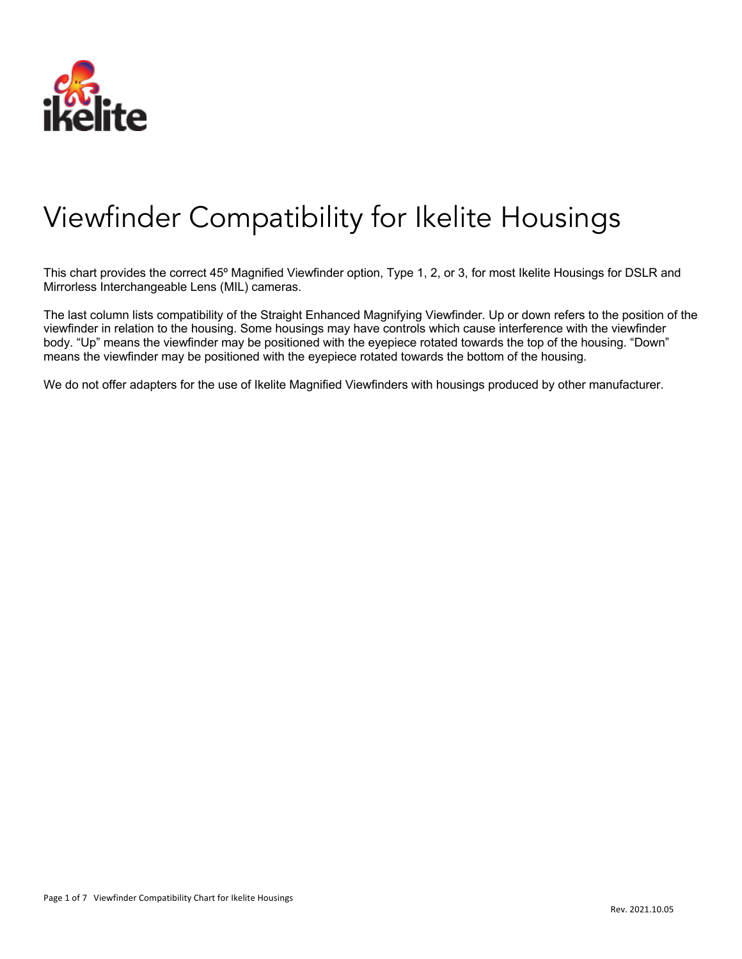

## Viewfinder Compatibility for Ikelite Housings

This chart provides the correct 45º Magnified Viewfinder option, Type 1, 2, or 3, for most Ikelite Housings for DSLR and Mirrorless Interchangeable Lens (MIL) cameras.

The last column lists compatibility of the Straight Enhanced Magnifying Viewfinder. Up or down refers to the position of the viewfinder in relation to the housing. Some housings may have controls which cause interference with the viewfinder body. "Up" means the viewfinder may be positioned with the eyepiece rotated towards the top of the housing. "Down" means the viewfinder may be positioned with the eyepiece rotated towards the bottom of the housing.

We do not offer adapters for the use of Ikelite Magnified Viewfinders with housings produced by other manufacturer.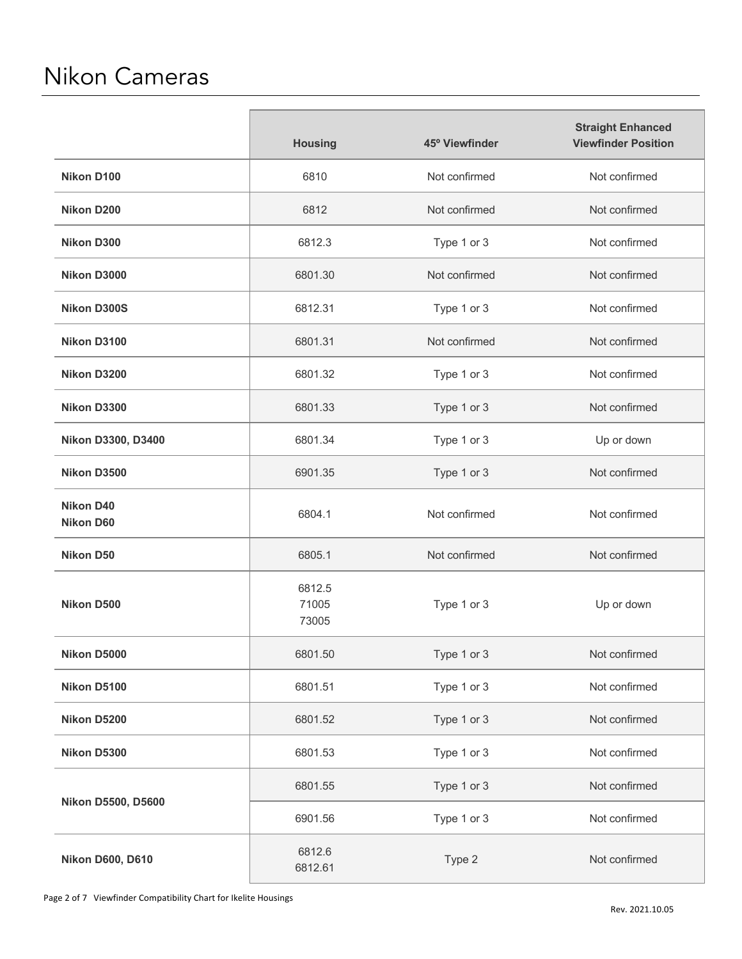## Nikon Cameras

|                                      | <b>Housing</b>           | 45° Viewfinder | <b>Straight Enhanced</b><br><b>Viewfinder Position</b> |
|--------------------------------------|--------------------------|----------------|--------------------------------------------------------|
| Nikon D100                           | 6810                     | Not confirmed  | Not confirmed                                          |
| Nikon D200                           | 6812                     | Not confirmed  | Not confirmed                                          |
| <b>Nikon D300</b>                    | 6812.3                   | Type 1 or 3    | Not confirmed                                          |
| Nikon D3000                          | 6801.30                  | Not confirmed  | Not confirmed                                          |
| <b>Nikon D300S</b>                   | 6812.31                  | Type 1 or 3    | Not confirmed                                          |
| Nikon D3100                          | 6801.31                  | Not confirmed  | Not confirmed                                          |
| Nikon D3200                          | 6801.32                  | Type 1 or 3    | Not confirmed                                          |
| Nikon D3300                          | 6801.33                  | Type 1 or 3    | Not confirmed                                          |
| Nikon D3300, D3400                   | 6801.34                  | Type 1 or 3    | Up or down                                             |
| Nikon D3500                          | 6901.35                  | Type 1 or 3    | Not confirmed                                          |
| <b>Nikon D40</b><br><b>Nikon D60</b> | 6804.1                   | Not confirmed  | Not confirmed                                          |
| <b>Nikon D50</b>                     | 6805.1                   | Not confirmed  | Not confirmed                                          |
| Nikon D500                           | 6812.5<br>71005<br>73005 | Type 1 or 3    | Up or down                                             |
| Nikon D5000                          | 6801.50                  | Type 1 or 3    | Not confirmed                                          |
| Nikon D5100                          | 6801.51                  | Type 1 or 3    | Not confirmed                                          |
| Nikon D5200                          | 6801.52                  | Type 1 or 3    | Not confirmed                                          |
| Nikon D5300                          | 6801.53                  | Type 1 or 3    | Not confirmed                                          |
| <b>Nikon D5500, D5600</b>            | 6801.55                  | Type 1 or 3    | Not confirmed                                          |
|                                      | 6901.56                  | Type 1 or 3    | Not confirmed                                          |
| <b>Nikon D600, D610</b>              | 6812.6<br>6812.61        | Type 2         | Not confirmed                                          |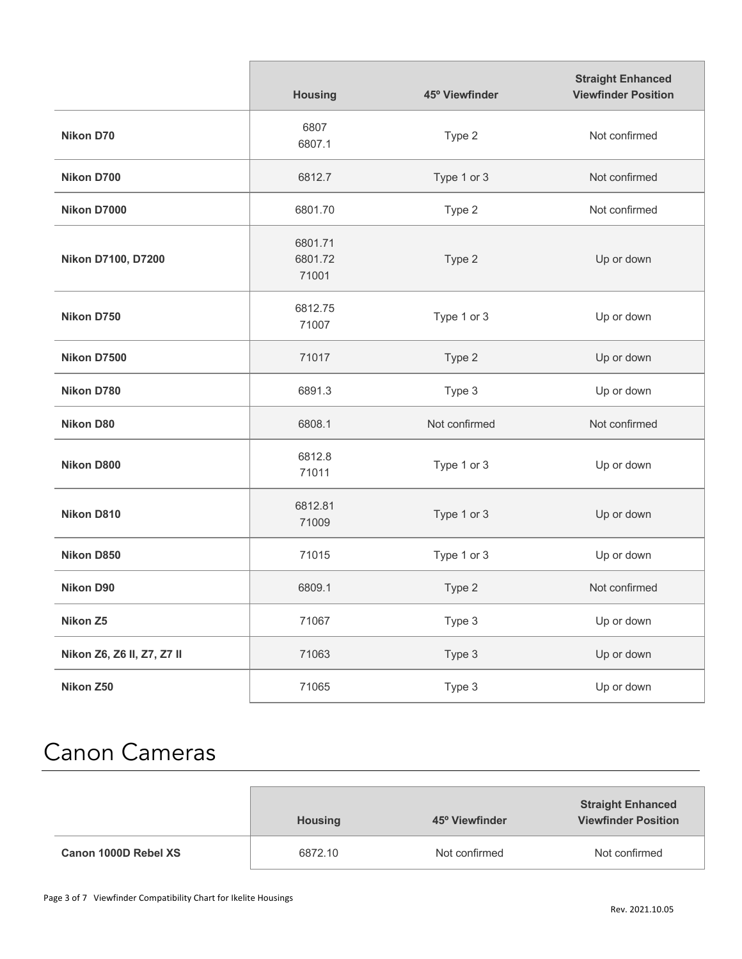|                            | <b>Housing</b>              | 45° Viewfinder | <b>Straight Enhanced</b><br><b>Viewfinder Position</b> |
|----------------------------|-----------------------------|----------------|--------------------------------------------------------|
| <b>Nikon D70</b>           | 6807<br>6807.1              | Type 2         | Not confirmed                                          |
| Nikon D700                 | 6812.7                      | Type 1 or 3    | Not confirmed                                          |
| Nikon D7000                | 6801.70                     | Type 2         | Not confirmed                                          |
| Nikon D7100, D7200         | 6801.71<br>6801.72<br>71001 | Type 2         | Up or down                                             |
| Nikon D750                 | 6812.75<br>71007            | Type 1 or 3    | Up or down                                             |
| Nikon D7500                | 71017                       | Type 2         | Up or down                                             |
| Nikon D780                 | 6891.3                      | Type 3         | Up or down                                             |
| <b>Nikon D80</b>           | 6808.1                      | Not confirmed  | Not confirmed                                          |
| <b>Nikon D800</b>          | 6812.8<br>71011             | Type 1 or 3    | Up or down                                             |
| Nikon D810                 | 6812.81<br>71009            | Type 1 or 3    | Up or down                                             |
| Nikon D850                 | 71015                       | Type 1 or 3    | Up or down                                             |
| <b>Nikon D90</b>           | 6809.1                      | Type 2         | Not confirmed                                          |
| Nikon Z5                   | 71067                       | Type 3         | Up or down                                             |
| Nikon Z6, Z6 II, Z7, Z7 II | 71063                       | Type 3         | Up or down                                             |
| Nikon Z50                  | 71065                       | Type 3         | Up or down                                             |

## Canon Cameras

|                      | <b>Housing</b> | 45° Viewfinder | <b>Straight Enhanced</b><br><b>Viewfinder Position</b> |
|----------------------|----------------|----------------|--------------------------------------------------------|
| Canon 1000D Rebel XS | 6872.10        | Not confirmed  | Not confirmed                                          |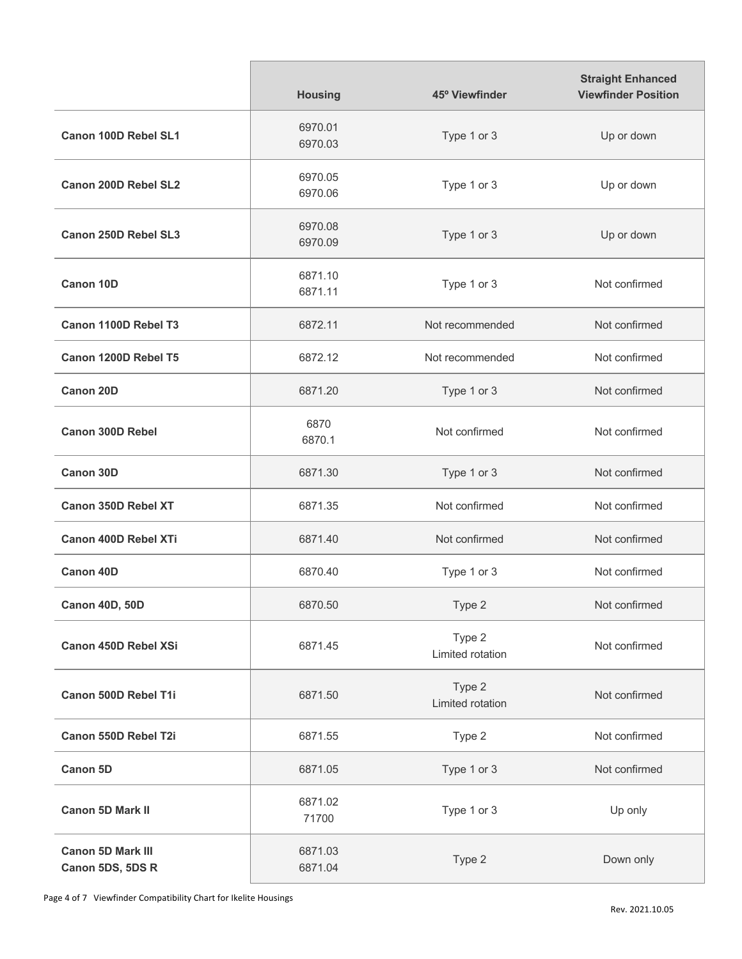|                                              | <b>Housing</b>     | 45° Viewfinder             | <b>Straight Enhanced</b><br><b>Viewfinder Position</b> |
|----------------------------------------------|--------------------|----------------------------|--------------------------------------------------------|
| <b>Canon 100D Rebel SL1</b>                  | 6970.01<br>6970.03 | Type 1 or 3                | Up or down                                             |
| <b>Canon 200D Rebel SL2</b>                  | 6970.05<br>6970.06 | Type 1 or 3                | Up or down                                             |
| Canon 250D Rebel SL3                         | 6970.08<br>6970.09 | Type 1 or 3                | Up or down                                             |
| <b>Canon 10D</b>                             | 6871.10<br>6871.11 | Type 1 or 3                | Not confirmed                                          |
| Canon 1100D Rebel T3                         | 6872.11            | Not recommended            | Not confirmed                                          |
| Canon 1200D Rebel T5                         | 6872.12            | Not recommended            | Not confirmed                                          |
| <b>Canon 20D</b>                             | 6871.20            | Type 1 or 3                | Not confirmed                                          |
| <b>Canon 300D Rebel</b>                      | 6870<br>6870.1     | Not confirmed              | Not confirmed                                          |
| Canon 30D                                    | 6871.30            | Type 1 or 3                | Not confirmed                                          |
| <b>Canon 350D Rebel XT</b>                   | 6871.35            | Not confirmed              | Not confirmed                                          |
| <b>Canon 400D Rebel XTi</b>                  | 6871.40            | Not confirmed              | Not confirmed                                          |
| <b>Canon 40D</b>                             | 6870.40            | Type 1 or 3                | Not confirmed                                          |
| Canon 40D, 50D                               | 6870.50            | Type 2                     | Not confirmed                                          |
| <b>Canon 450D Rebel XSi</b>                  | 6871.45            | Type 2<br>Limited rotation | Not confirmed                                          |
| Canon 500D Rebel T1i                         | 6871.50            | Type 2<br>Limited rotation | Not confirmed                                          |
| Canon 550D Rebel T2i                         | 6871.55            | Type 2                     | Not confirmed                                          |
| Canon 5D                                     | 6871.05            | Type 1 or 3                | Not confirmed                                          |
| <b>Canon 5D Mark II</b>                      | 6871.02<br>71700   | Type 1 or 3                | Up only                                                |
| <b>Canon 5D Mark III</b><br>Canon 5DS, 5DS R | 6871.03<br>6871.04 | Type 2                     | Down only                                              |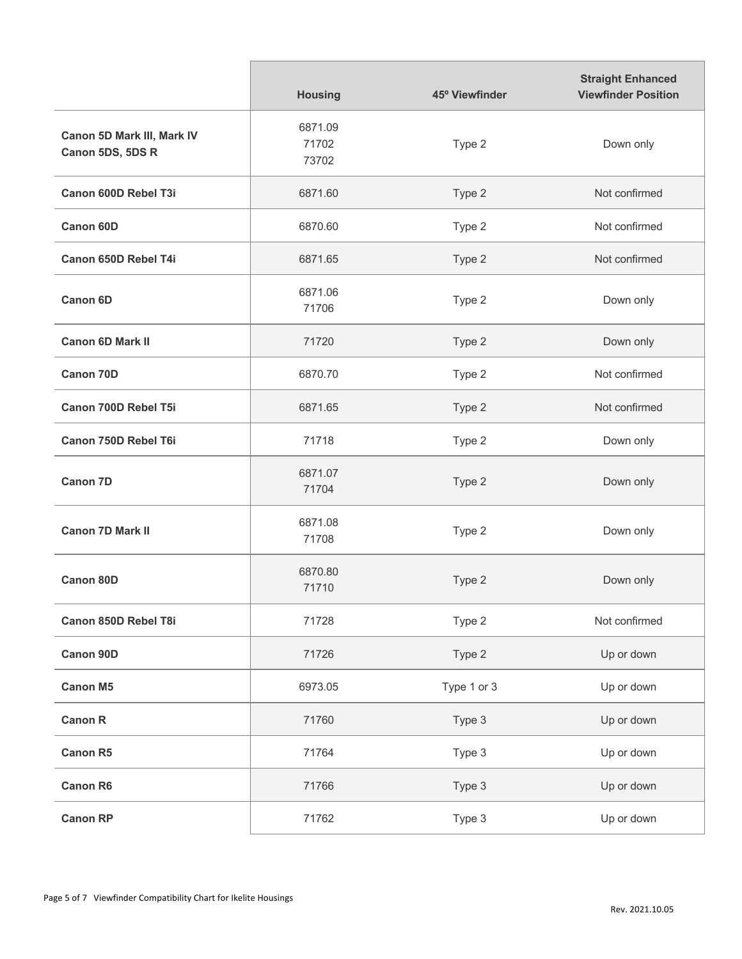|                                                | <b>Housing</b>            | 45° Viewfinder | <b>Straight Enhanced</b><br><b>Viewfinder Position</b> |
|------------------------------------------------|---------------------------|----------------|--------------------------------------------------------|
| Canon 5D Mark III, Mark IV<br>Canon 5DS, 5DS R | 6871.09<br>71702<br>73702 | Type 2         | Down only                                              |
| Canon 600D Rebel T3i                           | 6871.60                   | Type 2         | Not confirmed                                          |
| Canon 60D                                      | 6870.60                   | Type 2         | Not confirmed                                          |
| <b>Canon 650D Rebel T4i</b>                    | 6871.65                   | Type 2         | Not confirmed                                          |
| <b>Canon 6D</b>                                | 6871.06<br>71706          | Type 2         | Down only                                              |
| <b>Canon 6D Mark II</b>                        | 71720                     | Type 2         | Down only                                              |
| <b>Canon 70D</b>                               | 6870.70                   | Type 2         | Not confirmed                                          |
| Canon 700D Rebel T5i                           | 6871.65                   | Type 2         | Not confirmed                                          |
| Canon 750D Rebel T6i                           | 71718                     | Type 2         | Down only                                              |
| <b>Canon 7D</b>                                | 6871.07<br>71704          | Type 2         | Down only                                              |
| <b>Canon 7D Mark II</b>                        | 6871.08<br>71708          | Type 2         | Down only                                              |
| <b>Canon 80D</b>                               | 6870.80<br>71710          | Type 2         | Down only                                              |
| Canon 850D Rebel T8i                           | 71728                     | Type 2         | Not confirmed                                          |
| Canon 90D                                      | 71726                     | Type 2         | Up or down                                             |
| <b>Canon M5</b>                                | 6973.05                   | Type 1 or 3    | Up or down                                             |
| <b>Canon R</b>                                 | 71760                     | Type 3         | Up or down                                             |
| <b>Canon R5</b>                                | 71764                     | Type 3         | Up or down                                             |
| <b>Canon R6</b>                                | 71766                     | Type 3         | Up or down                                             |
| <b>Canon RP</b>                                | 71762                     | Type 3         | Up or down                                             |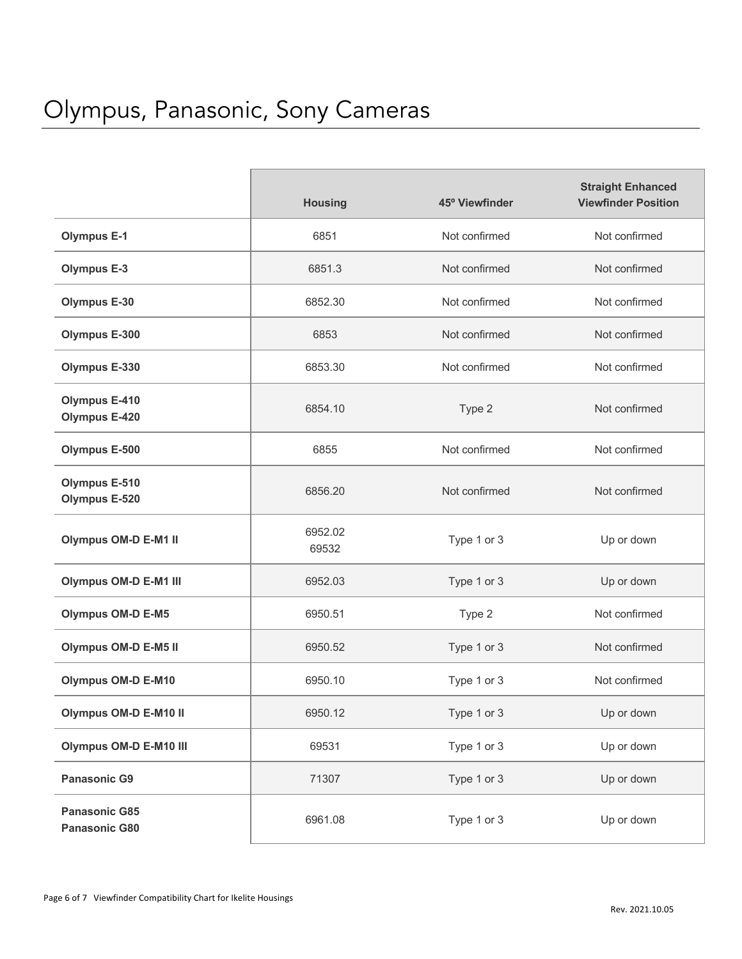|                                              | <b>Housing</b>   | 45° Viewfinder | <b>Straight Enhanced</b><br><b>Viewfinder Position</b> |
|----------------------------------------------|------------------|----------------|--------------------------------------------------------|
| <b>Olympus E-1</b>                           | 6851             | Not confirmed  | Not confirmed                                          |
| <b>Olympus E-3</b>                           | 6851.3           | Not confirmed  | Not confirmed                                          |
| <b>Olympus E-30</b>                          | 6852.30          | Not confirmed  | Not confirmed                                          |
| <b>Olympus E-300</b>                         | 6853             | Not confirmed  | Not confirmed                                          |
| <b>Olympus E-330</b>                         | 6853.30          | Not confirmed  | Not confirmed                                          |
| <b>Olympus E-410</b><br><b>Olympus E-420</b> | 6854.10          | Type 2         | Not confirmed                                          |
| <b>Olympus E-500</b>                         | 6855             | Not confirmed  | Not confirmed                                          |
| <b>Olympus E-510</b><br><b>Olympus E-520</b> | 6856.20          | Not confirmed  | Not confirmed                                          |
| <b>Olympus OM-D E-M1 II</b>                  | 6952.02<br>69532 | Type 1 or 3    | Up or down                                             |
| <b>Olympus OM-D E-M1 III</b>                 | 6952.03          | Type 1 or 3    | Up or down                                             |
| <b>Olympus OM-D E-M5</b>                     | 6950.51          | Type 2         | Not confirmed                                          |
| <b>Olympus OM-D E-M5 II</b>                  | 6950.52          | Type 1 or 3    | Not confirmed                                          |
| <b>Olympus OM-D E-M10</b>                    | 6950.10          | Type 1 or 3    | Not confirmed                                          |
| Olympus OM-D E-M10 II                        | 6950.12          | Type 1 or 3    | Up or down                                             |
| <b>Olympus OM-D E-M10 III</b>                | 69531            | Type 1 or 3    | Up or down                                             |
| <b>Panasonic G9</b>                          | 71307            | Type 1 or 3    | Up or down                                             |
| <b>Panasonic G85</b><br>Panasonic G80        | 6961.08          | Type 1 or 3    | Up or down                                             |